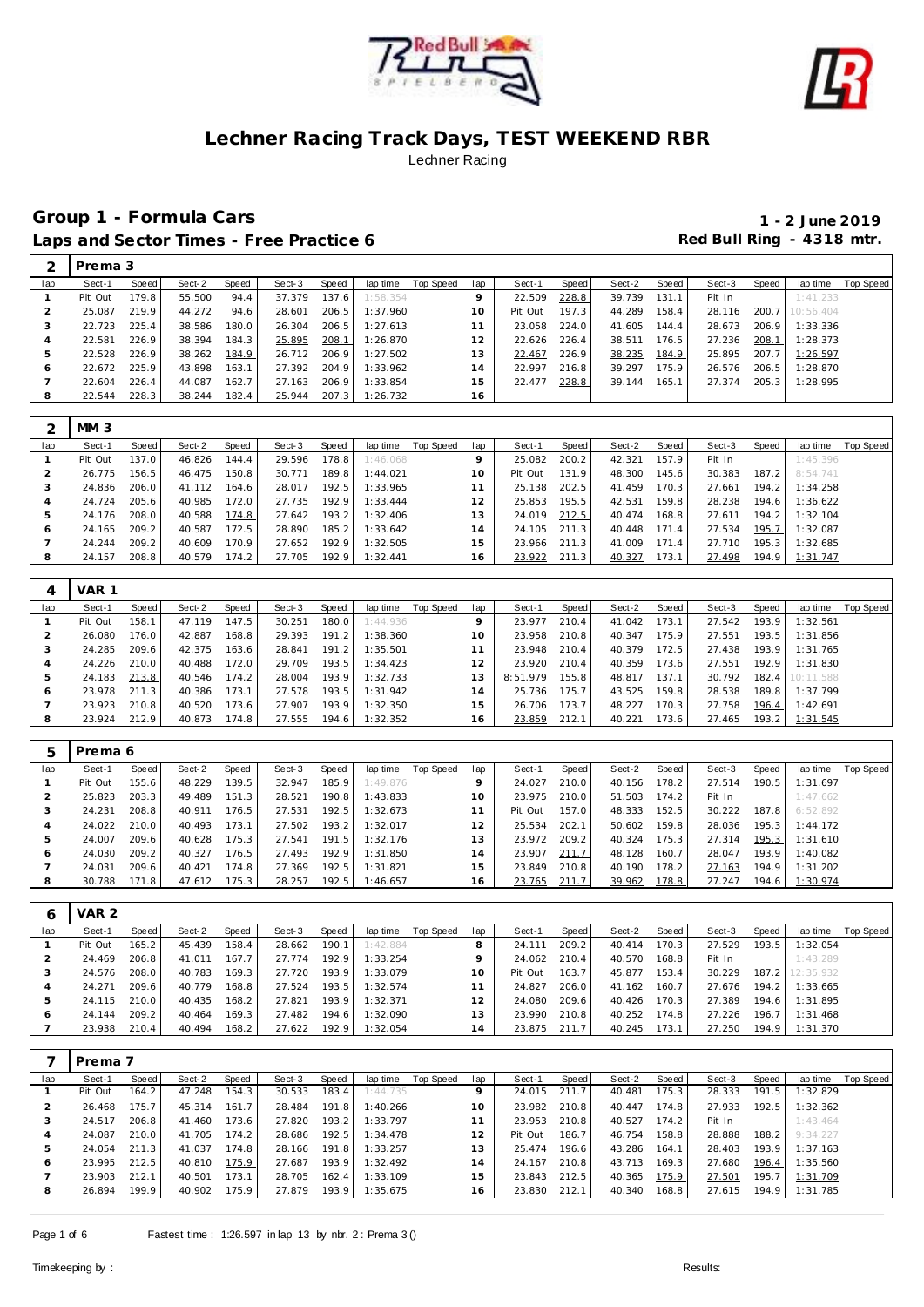



| ⌒   | Prema 3 |       |        |       |        |       |          |           |     |         |       |        |       |        |       |           |           |
|-----|---------|-------|--------|-------|--------|-------|----------|-----------|-----|---------|-------|--------|-------|--------|-------|-----------|-----------|
| lap | Sect-1  | Speed | Sect-2 | Speed | Sect-3 | Speed | lap time | Top Speed | lap | Sect-1  | Speed | Sect-2 | Speed | Sect-3 | Speed | lap time  | Top Speed |
|     | Pit Out | 179.8 | 55.500 | 94.4  | 37.379 | 137.6 | 1:58.354 |           | o   | 22.509  | 228.8 | 39.739 | 131.1 | Pit In |       | 1:41.233  |           |
|     | 25.087  | 219.9 | 44.272 | 94.6  | 28.601 | 206.5 | 1:37.960 |           | 10  | Pit Out | 197.3 | 44.289 | 158.4 | 28.116 | 200.7 | 10:56.404 |           |
|     | 22.723  | 225.4 | 38.586 | 180.0 | 26.304 | 206.5 | 1:27.613 |           |     | 23.058  | 224.0 | 41.605 | 144.4 | 28.673 | 206.9 | 1:33.336  |           |
| 4   | 22.581  | 226.9 | 38.394 | 184.3 | 25.895 | 208.1 | 1:26.870 |           | 12  | 22.626  | 226.4 | 38.511 | 176.5 | 27.236 | 208.1 | 1:28.373  |           |
| 5.  | 22.528  | 226.9 | 38.262 | 184.9 | 26.712 | 206.9 | 1:27.502 |           | 13  | 22.467  | 226.9 | 38.235 | 184.9 | 25.895 | 207.7 | 1:26.597  |           |
| 6   | 22.672  | 225.9 | 43.898 | 163.1 | 27.392 | 204.9 | 1:33.962 |           | 14  | 22.997  | 216.8 | 39.297 | 175.9 | 26.576 | 206.5 | 1:28.870  |           |
|     | 22.604  | 226.4 | 44.087 | 162.7 | 27.163 | 206.9 | 1:33.854 |           | 15  | 22.477  | 228.8 | 39.144 | 165.1 | 27.374 | 205.3 | 1:28.995  |           |
| 8   | 22.544  | 228.3 | 38.244 | 182.4 | 25.944 | 207.3 | 1:26.732 |           | 16  |         |       |        |       |        |       |           |           |

|     | MM <sub>3</sub> |       |        |       |        |       |          |           |     |         |       |        |       |        |       |          |           |
|-----|-----------------|-------|--------|-------|--------|-------|----------|-----------|-----|---------|-------|--------|-------|--------|-------|----------|-----------|
| lap | Sect-1          | Speed | Sect-2 | Speed | Sect-3 | Speed | lap time | Top Speed | lap | Sect-1  | Speed | Sect-2 | Speed | Sect-3 | Speed | lap time | Top Speed |
|     | Pit Out         | 137.0 | 46.826 | 144.4 | 29.596 | 178.8 | 1:46.068 |           |     | 25.082  | 200.2 | 42.321 | 157.9 | Pit In |       | 1:45.396 |           |
|     | 26.775          | 156.5 | 46.475 | 150.8 | 30.771 | 189.8 | 1:44.021 |           | 10  | Pit Out | 131.9 | 48.300 | 145.6 | 30.383 | 187.2 | 8:54.741 |           |
|     | 24.836          | 206.0 | 41.112 | 164.6 | 28.017 | 192.5 | 1:33.965 |           |     | 25.138  | 202.5 | 41.459 | 170.3 | 27.661 | 194.2 | 1:34.258 |           |
|     | 24.724          | 205.6 | 40.985 | 172.0 | 27.735 | 192.9 | 1:33.444 |           | 12  | 25.853  | 195.5 | 42.531 | 159.8 | 28.238 | 194.6 | 1:36.622 |           |
|     | 24.176          | 208.0 | 40.588 | 174.8 | 27.642 | 193.2 | 1:32.406 |           | 13  | 24.019  | 212.5 | 40.474 | 168.8 | 27.611 | 194.2 | 1:32.104 |           |
| Ô   | 24.165          | 209.2 | 40.587 | 172.5 | 28.890 | 185.2 | 1:33.642 |           | 14  | 24.105  | 211.3 | 40.448 | 171.4 | 27.534 | 195.7 | 1:32.087 |           |
|     | 24.244          | 209.2 | 40.609 | 170.9 | 27.652 | 192.9 | 1:32.505 |           | 15  | 23.966  | 211.3 | 41.009 | 171.4 | 27.710 | 195.3 | 1:32.685 |           |
| 8   | 24.157          | 208.8 | 40.579 | 174.2 | 27.705 | 192.9 | 1:32.441 |           | 16  | 23.922  | 211.3 | 40.327 | 173.1 | 27.498 | 194.9 | 1:31.747 |           |

| 4   | VAR 1   |       |        |       |        |       |          |           |     |          |       |        |       |        |       |           |           |
|-----|---------|-------|--------|-------|--------|-------|----------|-----------|-----|----------|-------|--------|-------|--------|-------|-----------|-----------|
| lap | Sect-1  | Speed | Sect-2 | Speed | Sect-3 | Speed | lap time | Top Speed | lap | Sect-1   | Speed | Sect-2 | Speed | Sect-3 | Speed | lap time  | Top Speed |
|     | Pit Out | 158.1 | 47.119 | 147.5 | 30.251 | 180.0 | 1:44.936 |           |     | 23.977   | 210.4 | 41.042 | 173.1 | 27.542 | 193.9 | 1:32.561  |           |
| 2   | 26.080  | 176.0 | 42.887 | 168.8 | 29.393 | 191.2 | 1:38.360 |           | 10  | 23.958   | 210.8 | 40.347 | 175.9 | 27.551 | 193.5 | 1:31.856  |           |
|     | 24.285  | 209.6 | 42.375 | 163.6 | 28.841 | 191.2 | 1:35.501 |           |     | 23.948   | 210.4 | 40.379 | 172.5 | 27.438 | 193.9 | 1:31.765  |           |
| 4   | 24.226  | 210.0 | 40.488 | 172.0 | 29.709 | 193.5 | 1:34.423 |           |     | 23.920   | 210.4 | 40.359 | 173.6 | 27.551 | 192.9 | 1:31.830  |           |
| 5   | 24.183  | 213.8 | 40.546 | 174.2 | 28.004 | 193.9 | 1:32.733 |           |     | 8:51.979 | 155.8 | 48.817 | 137.1 | 30.792 | 182.4 | 10:11.588 |           |
| 6   | 23.978  | 211.3 | 40.386 | 173.1 | 27.578 | 193.5 | 1:31.942 |           | 4   | 25.736   | 175.7 | 43.525 | 159.8 | 28.538 | 189.8 | 1:37.799  |           |
|     | 23.923  | 210.8 | 40.520 | 173.6 | 27.907 | 193.9 | 1:32.350 |           |     | 26.706   | 173.7 | 48.227 | 170.3 | 27.758 | 196.4 | 1:42.691  |           |
| 8   | 23.924  | 212.9 | 40.873 | 174.8 | 27.555 | 194.6 | 1:32.352 |           | 16  | 23.859   | 212.1 | 40.221 | 173.6 | 27.465 | 193.2 | 1:31.545  |           |

|     | Prema 6 |       |        |       |        |         |          |           |           |         |       |        |       |        |       |          |           |
|-----|---------|-------|--------|-------|--------|---------|----------|-----------|-----------|---------|-------|--------|-------|--------|-------|----------|-----------|
| lap | Sect-1  | Speed | Sect-2 | Speed | Sect-3 | Speed   | lap time | Top Speed | lap       | Sect-1  | Speed | Sect-2 | Speed | Sect-3 | Speed | lap time | Top Speed |
|     | Pit Out | 155.6 | 48.229 | 139.5 | 32.947 | 185.9   | 1:49.876 |           |           | 24.027  | 210.0 | 40.156 | 178.2 | 27.514 | 190.5 | 1:31.697 |           |
|     | 25.823  | 203.3 | 49.489 | 151.3 | 28.521 | 190.8   | 1:43.833 |           | $10^{-7}$ | 23.975  | 210.0 | 51.503 | 174.2 | Pit In |       | 1:47.662 |           |
|     | 24.231  | 208.8 | 40.911 | 176.5 | 27.531 | 192.5   | 1:32.673 |           |           | Pit Out | 157.0 | 48.333 | 152.5 | 30.222 | 187.8 | 6:52.892 |           |
| 4   | 24.022  | 210.0 | 40.493 | 173.1 | 27.502 | 193.2   | 1:32.017 |           |           | 25.534  | 202.1 | 50.602 | 159.8 | 28.036 | 195.3 | 1:44.172 |           |
| b.  | 24.007  | 209.6 | 40.628 | 175.3 | 27.541 | 191.5   | 1:32.176 |           |           | 23.972  | 209.2 | 40.324 | 175.3 | 27.314 | 195.3 | 1:31.610 |           |
| 6   | 24.030  | 209.2 | 40.327 | 176.5 | 27.493 | 192.9   | 1:31.850 |           | 4         | 23.907  | 211.7 | 48.128 | 160.7 | 28.047 | 193.9 | 1:40.082 |           |
|     | 24.031  | 209.6 | 40.421 | 174.8 | 27.369 | 192.5   | 1:31.821 |           | 5         | 23.849  | 210.8 | 40.190 | 178.2 | 27.163 | 194.9 | 1:31.202 |           |
| 8   | 30.788  | 171.8 | 47.612 | 175.3 | 28.257 | 192.5 l | 1:46.657 |           | 16.       | 23.765  | 211.7 | 39.962 | 178.8 | 27.247 | 194.6 | 1:30.974 |           |

| 6   | VAR <sub>2</sub> |       |        |       |        |        |          |           |          |         |                    |        |       |        |       |                 |           |
|-----|------------------|-------|--------|-------|--------|--------|----------|-----------|----------|---------|--------------------|--------|-------|--------|-------|-----------------|-----------|
| lap | Sect-1           | Speed | Sect-2 | Speed | Sect-3 | Speed  | lap time | Top Speed | lap      | Sect-1  | Speed              | Sect-2 | Speed | Sect-3 | Speed | lap time        | Top Speed |
|     | Pit Out          | 165.2 | 45.439 | 158.4 | 28.662 | 190.1  | 1:42.884 |           |          | 24.111  | 209.2              | 40.414 | 170.3 | 27.529 | 193.5 | 1:32.054        |           |
|     | 24.469           | 206.8 | 41.011 | 167.7 | 27.774 | 192.9  | 1:33.254 |           |          | 24.062  | 210.4              | 40.570 | 168.8 | Pit In |       | 1:43.289        |           |
|     | 24.576           | 208.0 | 40.783 | 169.3 | 27.720 | 193.91 | 1:33.079 |           | $\Omega$ | Pit Out | 163.7 <sub>1</sub> | 45.877 | 153.4 | 30.229 |       | 187.2 12:35.932 |           |
|     | 24.271           | 209.6 | 40.779 | 168.8 | 27.524 | 193.5  | 1:32.574 |           |          | 24.827  | 206.0              | 41.162 | 160.7 | 27.676 | 194.2 | 1:33.665        |           |
| h   | 24.115           | 210.0 | 40.435 | 168.2 | 27.821 | 193.9  | 1:32.371 |           |          | 24.080  | 209.6              | 40.426 | 170.3 | 27.389 | 194.6 | 1:31.895        |           |
| O   | 24.144           | 209.2 | 40.464 | 169.3 | 27.482 | 194.6  | 1:32.090 |           | 13       | 23.990  | 210.8              | 40.252 | 174.8 | 27.226 | 196.7 | 1:31.468        |           |
|     | 23.938           | 210.4 | 40.494 | 168.2 | 27.622 | 192.9  | 1:32.054 |           | 14       | 23.875  | 211.7              | 40.245 | 173.1 | 27.250 | 194.9 | 1:31.370        |           |

|              | Prema 7 |       |        |       |        |       |          |           |     |         |       |        |       |        |       |          |           |
|--------------|---------|-------|--------|-------|--------|-------|----------|-----------|-----|---------|-------|--------|-------|--------|-------|----------|-----------|
| lap          | Sect-1  | Speed | Sect-2 | Speed | Sect-3 | Speed | lap time | Top Speed | lap | Sect-1  | Speed | Sect-2 | Speed | Sect-3 | Speed | lap time | Top Speed |
|              | Pit Out | 164.2 | 47.248 | 154.3 | 30.533 | 183.4 | 1:44.735 |           |     | 24.015  | 211.7 | 40.481 | 175.3 | 28.333 | 191.5 | 1:32.829 |           |
|              | 26.468  | 175.7 | 45.314 | 161.7 | 28.484 | 191.8 | 1:40.266 |           | 10  | 23.982  | 210.8 | 40.447 | 174.8 | 27.933 | 192.5 | 1:32.362 |           |
|              | 24.517  | 206.8 | 41.460 | 173.6 | 27.820 | 193.2 | 1:33.797 |           |     | 23.953  | 210.8 | 40.527 | 174.2 | Pit In |       | 1:43.464 |           |
|              | 24.087  | 210.0 | 41.705 | 174.2 | 28.686 | 192.5 | 1:34.478 |           | 12  | Pit Out | 186.7 | 46.754 | 158.8 | 28.888 | 188.2 | 9:34.227 |           |
|              | 24.054  | 211.3 | 41.037 | 174.8 | 28.166 | 191.8 | 1:33.257 |           | 13  | 25.474  | 196.6 | 43.286 | 164.1 | 28.403 | 193.9 | 1:37.163 |           |
| <sub>6</sub> | 23.995  | 212.5 | 40.810 | 175.9 | 27.687 | 193.9 | 1:32.492 |           | 14  | 24.167  | 210.8 | 43.713 | 169.3 | 27.680 | 196.4 | 1:35.560 |           |
|              | 23.903  | 212.1 | 40.501 | 173.1 | 28.705 | 162.4 | 1:33.109 |           | 15  | 23.843  | 212.5 | 40.365 | 175.9 | 27.501 | 195.7 | 1:31.709 |           |
| 8            | 26.894  | 199.9 | 40.902 | 175.9 | 27.879 | 193.9 | 1:35.675 |           | 16. | 23.830  | 212.1 | 40.340 | 168.8 | 27.615 | 194.9 | 1:31.785 |           |
|              |         |       |        |       |        |       |          |           |     |         |       |        |       |        |       |          |           |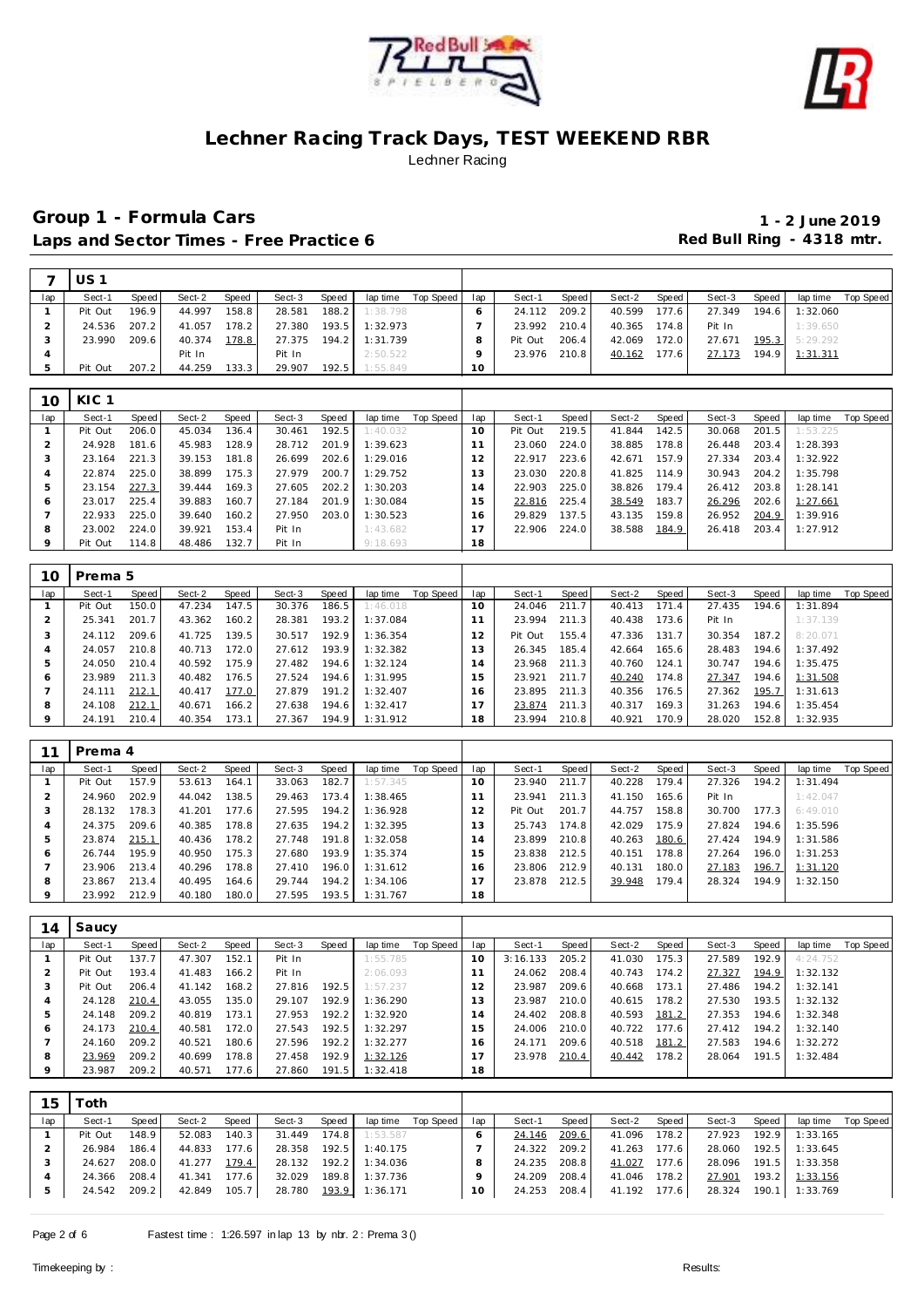



|     | US 1    |       |        |       |        |       |          |           |                 |         |       |        |       |        |                    |          |           |
|-----|---------|-------|--------|-------|--------|-------|----------|-----------|-----------------|---------|-------|--------|-------|--------|--------------------|----------|-----------|
| lap | Sect-1  | Speed | Sect-2 | Speed | Sect-3 | Speed | lap time | Top Speed | lap             | Sect-1  | Speed | Sect-2 | Speed | Sect-3 | Speed              | lap time | Top Speed |
|     | Pit Out | 196.9 | 44.997 | 158.8 | 28.581 | 188.2 | 1:38.798 |           |                 | 24.112  | 209.2 | 40.599 | 177.6 | 27.349 | 194.6 <sub>1</sub> | 1:32.060 |           |
|     | 24.536  | 207.2 | 41.057 | 178.2 | 27.380 | 193.5 | 1:32.973 |           |                 | 23.992  | 210.4 | 40.365 | 174.8 | Pit In |                    | 1:39.650 |           |
|     | 23.990  | 209.6 | 40.374 | 178.8 | 27.375 | 194.2 | 1:31.739 |           |                 | Pit Out | 206.4 | 42.069 | 172.0 | 27.671 | 195.3              | 5:29.292 |           |
|     |         |       | Pit In |       | Pit In |       | 2:50.522 |           |                 | 23.976  | 210.8 | 40.162 | 177.6 | 27.173 | 194.9              | 1:31.311 |           |
|     | Pit Out | 207.2 | 44.259 | 133.3 | 29.907 | 192.5 | 1:55.849 |           | 10 <sup>°</sup> |         |       |        |       |        |                    |          |           |

| 10  | KIC <sub>1</sub> |       |        |       |        |       |          |           |     |         |       |        |       |        |       |          |           |
|-----|------------------|-------|--------|-------|--------|-------|----------|-----------|-----|---------|-------|--------|-------|--------|-------|----------|-----------|
| lap | Sect-1           | Speed | Sect-2 | Speed | Sect-3 | Speed | lap time | Top Speed | lap | Sect-1  | Speed | Sect-2 | Speed | Sect-3 | Speed | lap time | Top Speed |
|     | Pit Out          | 206.0 | 45.034 | 136.4 | 30.461 | 192.5 | 1:40.032 |           | 10  | Pit Out | 219.5 | 41.844 | 142.5 | 30.068 | 201.5 | 1:53.225 |           |
|     | 24.928           | 181.6 | 45.983 | 128.9 | 28.712 | 201.9 | 1:39.623 |           |     | 23.060  | 224.0 | 38.885 | 178.8 | 26.448 | 203.4 | 1:28.393 |           |
|     | 23.164           | 221.3 | 39.153 | 181.8 | 26.699 | 202.6 | 1:29.016 |           | 12  | 22.917  | 223.6 | 42.671 | 157.9 | 27.334 | 203.4 | 1:32.922 |           |
|     | 22.874           | 225.0 | 38.899 | 175.3 | 27.979 | 200.7 | 1:29.752 |           | 13  | 23.030  | 220.8 | 41.825 | 114.9 | 30.943 | 204.2 | 1:35.798 |           |
|     | 23.154           | 227.3 | 39.444 | 169.3 | 27.605 | 202.2 | 1:30.203 |           | 4   | 22.903  | 225.0 | 38.826 | 179.4 | 26.412 | 203.8 | 1:28.141 |           |
| ō   | 23.017           | 225.4 | 39.883 | 160.7 | 27.184 | 201.9 | 1:30.084 |           | 15  | 22.816  | 225.4 | 38.549 | 183.7 | 26.296 | 202.6 | 1:27.661 |           |
|     | 22.933           | 225.0 | 39.640 | 160.2 | 27.950 | 203.0 | 1:30.523 |           | 16  | 29.829  | 137.5 | 43.135 | 159.8 | 26.952 | 204.9 | 1:39.916 |           |
| 8   | 23.002           | 224.0 | 39.921 | 153.4 | Pit In |       | 1:43.682 |           |     | 22.906  | 224.0 | 38.588 | 184.9 | 26.418 | 203.4 | 1:27.912 |           |
| q   | Pit Out          | 114.8 | 48.486 | 132.7 | Pit In |       | 9:18.693 |           | 18  |         |       |        |       |        |       |          |           |

| 10  | Prema 5 |       |        |       |        |       |          |           |        |         |       |        |       |        |       |          |           |
|-----|---------|-------|--------|-------|--------|-------|----------|-----------|--------|---------|-------|--------|-------|--------|-------|----------|-----------|
| lap | Sect-1  | Speed | Sect-2 | Speed | Sect-3 | Speed | lap time | Top Speed | lap    | Sect-1  | Speed | Sect-2 | Speed | Sect-3 | Speed | lap time | Top Speed |
|     | Pit Out | 150.0 | 47.234 | 147.5 | 30.376 | 186.5 | 1:46.018 |           | 10     | 24.046  | 211.7 | 40.413 | 171.4 | 27.435 | 194.6 | 1:31.894 |           |
|     | 25.341  | 201.7 | 43.362 | 160.2 | 28.381 | 193.2 | 1:37.084 |           |        | 23.994  | 211.3 | 40.438 | 173.6 | Pit In |       | 1:37.139 |           |
|     | 24.112  | 209.6 | 41.725 | 139.5 | 30.517 | 192.9 | 1:36.354 |           | 12     | Pit Out | 155.4 | 47.336 | 131.7 | 30.354 | 187.2 | 8:20.071 |           |
| 4   | 24.057  | 210.8 | 40.713 | 172.0 | 27.612 | 193.9 | 1:32.382 |           |        | 26.345  | 185.4 | 42.664 | 165.6 | 28.483 | 194.6 | 1:37.492 |           |
| 5   | 24.050  | 210.4 | 40.592 | 175.9 | 27.482 | 194.6 | 1:32.124 |           | $^1$ 4 | 23.968  | 211.3 | 40.760 | 124.1 | 30.747 | 194.6 | 1:35.475 |           |
| 6   | 23.989  | 211.3 | 40.482 | 176.5 | 27.524 | 194.6 | 1:31.995 |           | $15 -$ | 23.921  | 211.7 | 40.240 | 174.8 | 27.347 | 194.6 | 1:31.508 |           |
|     | 24.111  | 212.1 | 40.417 | 177.0 | 27.879 | 191.2 | 1:32.407 |           | 16.    | 23.895  | 211.3 | 40.356 | 176.5 | 27.362 | 195.7 | 1:31.613 |           |
| 8   | 24.108  | 212.1 | 40.671 | 166.2 | 27.638 | 194.6 | 1:32.417 |           |        | 23.874  | 211.3 | 40.317 | 169.3 | 31.263 | 194.6 | 1:35.454 |           |
| 9   | 24.191  | 210.4 | 40.354 | 173.1 | 27.367 | 194.9 | 1:31.912 |           | 18     | 23.994  | 210.8 | 40.921 | 170.9 | 28.020 | 152.8 | 1:32.935 |           |

| 1       | Prema 4 |       |        |       |        |       |          |           |     |         |       |        |       |        |       |          |           |
|---------|---------|-------|--------|-------|--------|-------|----------|-----------|-----|---------|-------|--------|-------|--------|-------|----------|-----------|
| lap     | Sect-1  | Speed | Sect-2 | Speed | Sect-3 | Speed | lap time | Top Speed | lap | Sect-1  | Speed | Sect-2 | Speed | Sect-3 | Speed | lap time | Top Speed |
|         | Pit Out | 157.9 | 53.613 | 164.1 | 33.063 | 182.7 | 1:57.345 |           | 10  | 23.940  | 211.7 | 40.228 | 179.4 | 27.326 | 194.2 | 1:31.494 |           |
|         | 24.960  | 202.9 | 44.042 | 138.5 | 29.463 | 173.4 | 1:38.465 |           |     | 23.941  | 211.3 | 41.150 | 165.6 | Pit In |       | 1:42.047 |           |
| -3      | 28.132  | 178.3 | 41.201 | 177.6 | 27.595 | 194.2 | 1:36.928 |           |     | Pit Out | 201.7 | 44.757 | 158.8 | 30.700 | 177.3 | 6:49.010 |           |
|         | 24.375  | 209.6 | 40.385 | 178.8 | 27.635 | 194.2 | 1:32.395 |           |     | 25.743  | 174.8 | 42.029 | 175.9 | 27.824 | 194.6 | 1:35.596 |           |
|         | 23.874  | 215.1 | 40.436 | 178.2 | 27.748 | 191.8 | 1:32.058 |           | 4   | 23.899  | 210.8 | 40.263 | 180.6 | 27.424 | 194.9 | 1:31.586 |           |
| $\circ$ | 26.744  | 195.9 | 40.950 | 175.3 | 27.680 | 193.9 | 1:35.374 |           | 5   | 23.838  | 212.5 | 40.151 | 178.8 | 27.264 | 196.0 | 1:31.253 |           |
|         | 23.906  | 213.4 | 40.296 | 178.8 | 27.410 | 196.0 | 1:31.612 |           | 6   | 23.806  | 212.9 | 40.131 | 180.0 | 27.183 | 196.7 | 1:31.120 |           |
| 8       | 23.867  | 213.4 | 40.495 | 164.6 | 29.744 | 194.2 | 1:34.106 |           |     | 23.878  | 212.5 | 39.948 | 179.4 | 28.324 | 194.9 | 1:32.150 |           |
| $\circ$ | 23.992  | 212.9 | 40.180 | 180.0 | 27.595 | 193.5 | 1:31.767 |           | 18  |         |       |        |       |        |       |          |           |

| $\overline{4}$ | Saucy   |       |        |       |        |       |          |           |                |          |       |        |       |        |       |          |           |
|----------------|---------|-------|--------|-------|--------|-------|----------|-----------|----------------|----------|-------|--------|-------|--------|-------|----------|-----------|
| lap            | Sect-1  | Speed | Sect-2 | Speed | Sect-3 | Speed | lap time | Top Speed | lap            | Sect-1   | Speed | Sect-2 | Speed | Sect-3 | Speed | lap time | Top Speed |
|                | Pit Out | 137.7 | 47.307 | 152.1 | Pit In |       | 1:55.785 |           | 10             | 3:16.133 | 205.2 | 41.030 | 175.3 | 27.589 | 192.9 | 4:24.752 |           |
|                | Pit Out | 193.4 | 41.483 | 166.2 | Pit In |       | 2:06.093 |           |                | 24.062   | 208.4 | 40.743 | 174.2 | 27.327 | 194.9 | 1:32.132 |           |
| -3             | Pit Out | 206.4 | 41.142 | 168.2 | 27.816 | 192.5 | 1:57.237 |           | 2              | 23.987   | 209.6 | 40.668 | 173.1 | 27.486 | 194.2 | 1:32.141 |           |
|                | 24.128  | 210.4 | 43.055 | 135.0 | 29.107 | 192.9 | 1:36.290 |           | 3              | 23.987   | 210.0 | 40.615 | 178.2 | 27.530 | 193.5 | 1:32.132 |           |
| b              | 24.148  | 209.2 | 40.819 | 173.1 | 27.953 | 192.2 | 1:32.920 |           | $\overline{a}$ | 24.402   | 208.8 | 40.593 | 181.2 | 27.353 | 194.6 | 1:32.348 |           |
| Ô              | 24.173  | 210.4 | 40.581 | 172.0 | 27.543 | 192.5 | 1:32.297 |           | 15             | 24.006   | 210.0 | 40.722 | 177.6 | 27.412 | 194.2 | 1:32.140 |           |
|                | 24.160  | 209.2 | 40.521 | 180.6 | 27.596 | 192.2 | 1:32.277 |           | 6              | 24.171   | 209.6 | 40.518 | 181.2 | 27.583 | 194.6 | 1:32.272 |           |
| 8              | 23.969  | 209.2 | 40.699 | 178.8 | 27.458 | 192.9 | 1:32.126 |           |                | 23.978   | 210.4 | 40.442 | 178.2 | 28.064 | 191.5 | 1:32.484 |           |
| 9              | 23.987  | 209.2 | 40.571 | 177.6 | 27.860 | 191.5 | 1:32.418 |           | 18             |          |       |        |       |        |       |          |           |

| 15  | `oth    |       |        |       |        |       |          |           |     |        |       |              |         |        |         |          |                    |
|-----|---------|-------|--------|-------|--------|-------|----------|-----------|-----|--------|-------|--------------|---------|--------|---------|----------|--------------------|
| lap | Sect-1  | Speed | Sect-2 | Speed | Sect-3 | Speed | lap time | Top Speed | lap | Sect-1 | Speed | Sect-2       | Speed   | Sect-3 | Speed   |          | lap time Top Speed |
|     | Pit Out | 148.9 | 52.083 | 140.3 | 31.449 | 174.8 | 1:53.587 |           |     | 24.146 | 209.6 | 41.096       | 178.2   | 27.923 | 192.9   | 1:33.165 |                    |
|     | 26.984  | 186.4 | 44.833 | 177.6 | 28.358 | 192.5 | 1:40.175 |           |     | 24.322 | 209.2 | 41.263 177.6 |         | 28.060 | $192.5$ | 1:33.645 |                    |
|     | 24.627  | 208.0 | 41.277 | 179.4 | 28.132 | 192.2 | 1:34.036 |           |     | 24.235 | 208.8 | 41.027       | 177.6   | 28.096 | 191.5   | 1:33.358 |                    |
|     | 24.366  | 208.4 | 41.341 | 177.6 | 32.029 | 189.8 | 1:37.736 |           |     | 24.209 | 208.4 | 41.046       | $178.2$ | 27.901 | 193.2   | 1:33.156 |                    |
|     | 24.542  | 209.2 | 42.849 | 105.7 | 28.780 | 193.9 | 1:36.171 |           | 10  | 24.253 | 208.4 | 41.192 177.6 |         | 28.324 | 190.1   | 1:33.769 |                    |
|     |         |       |        |       |        |       |          |           |     |        |       |              |         |        |         |          |                    |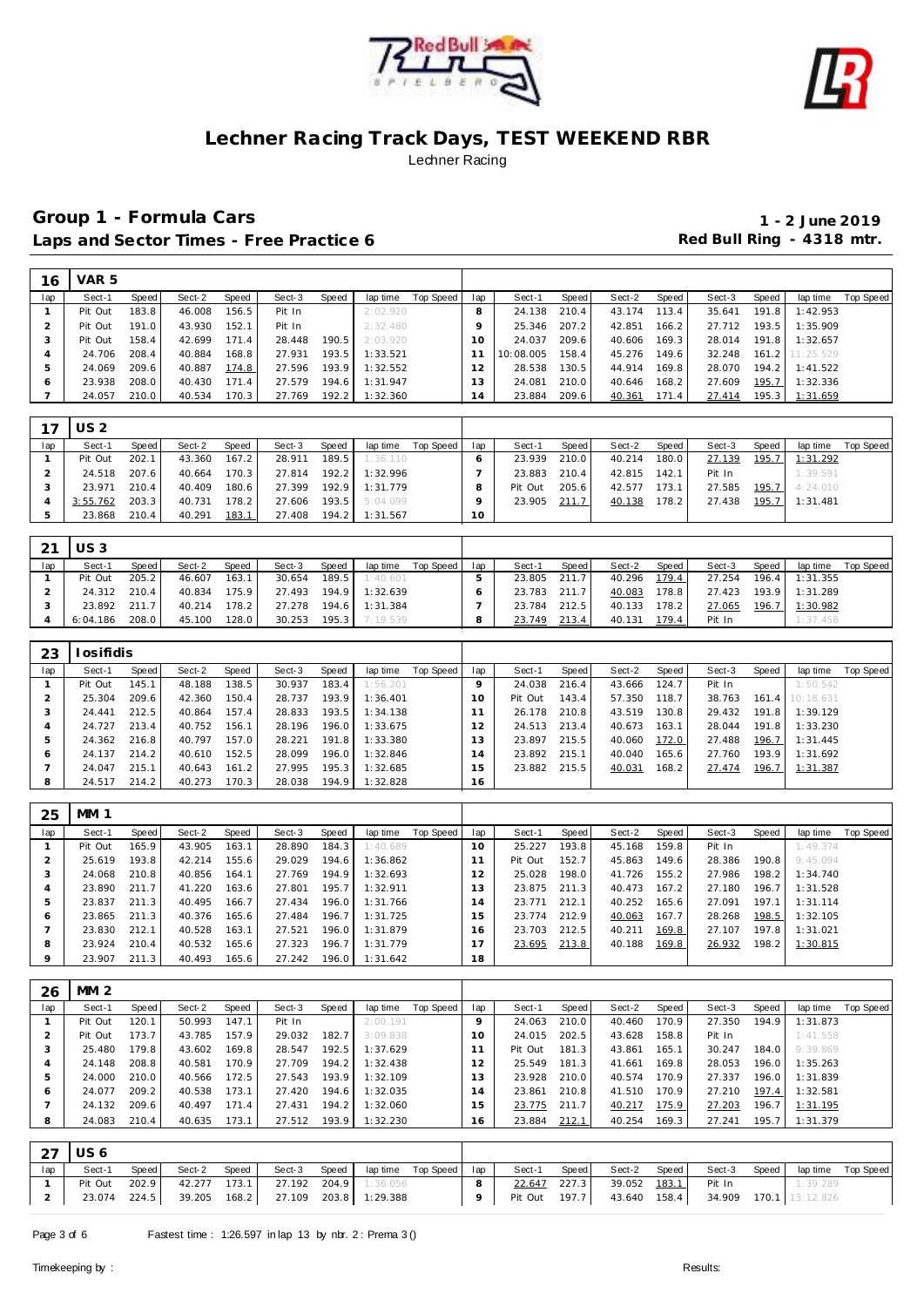



| 16  | VAR 5      |       |        |       |        |       |          |           |     |           |       |        |       |        |       |           |                  |
|-----|------------|-------|--------|-------|--------|-------|----------|-----------|-----|-----------|-------|--------|-------|--------|-------|-----------|------------------|
| lap | Sect-1     | Speed | Sect-2 | Speed | Sect-3 | Speed | lap time | Top Speed | lap | Sect-1    | Speed | Sect-2 | Speed | Sect-3 | Speed | lap time  | <b>Top Speed</b> |
|     | Pit Out    | 183.8 | 46.008 | 156.5 | Pit In |       | 2:02.920 |           |     | 24.138    | 210.4 | 43.174 | 113.4 | 35.641 | 191.8 | 1:42.953  |                  |
|     | Pit Out    | 191.0 | 43.930 | 152.1 | Pit In |       | 2:32.480 |           |     | 25.346    | 207.2 | 42.851 | 166.2 | 27.712 | 193.5 | 1:35.909  |                  |
| 3   | Pit Out    | 158.4 | 42.699 | 171.4 | 28.448 | 190.5 | 2:03.920 |           | 10  | 24.037    | 209.6 | 40.606 | 169.3 | 28.014 | 191.8 | 1:32.657  |                  |
| 4   | 24.706     | 208.4 | 40.884 | 168.8 | 27.931 | 193.5 | 1:33.521 |           |     | 10:08.005 | 158.4 | 45.276 | 149.6 | 32.248 | 161.2 | 11:25.529 |                  |
| 5   | 24.069     | 209.6 | 40.887 | 174.8 | 27.596 | 193.9 | 1:32.552 |           | 2   | 28.538    | 130.5 | 44.914 | 169.8 | 28.070 | 194.2 | 1:41.522  |                  |
| 6   | 23.938     | 208.0 | 40.430 | 171.4 | 27.579 | 194.6 | 1:31.947 |           | 3   | 24.081    | 210.0 | 40.646 | 168.2 | 27.609 | 195.7 | 1:32.336  |                  |
|     | 24.057     | 210.0 | 40.534 | 170.3 | 27.769 | 192.2 | 1:32.360 |           | 14  | 23.884    | 209.6 | 40.361 | 171.4 | 27.414 | 195.3 | 1:31.659  |                  |
|     |            |       |        |       |        |       |          |           |     |           |       |        |       |        |       |           |                  |
| 17  | <b>US2</b> |       |        |       |        |       |          |           |     |           |       |        |       |        |       |           |                  |
| lap | Sect-1     | Speed | Sect-2 | Speed | Sect-3 | Speed | lap time | Top Speed | lap | Sect-1    | Speed | Sect-2 | Speed | Sect-3 | Speed | lap time  | Top Speed        |

| lan | Sect-1         | Speed | Sect-2       | Speed | Sect-3                                 | Speed |                              | laptime Top Speed   lap |          | Sect-1        | Speed | Sect-2                           | Speed | Sect-3 Speed                       | lap time Top Speed                 |  |
|-----|----------------|-------|--------------|-------|----------------------------------------|-------|------------------------------|-------------------------|----------|---------------|-------|----------------------------------|-------|------------------------------------|------------------------------------|--|
|     | Pit Out 202.1  |       | 43.360 167.2 |       |                                        |       | <b>28.911 189.5 1:36.110</b> |                         |          | 23.939 210.0  |       |                                  |       |                                    | 40.214 180.0 27.139 195.7 1:31.292 |  |
|     | 24.518 207.6   |       |              |       | 40.664 170.3 27.814 192.2 1:32.996     |       |                              |                         |          |               |       | 23.883 210.4 42.815 142.1 Pit In |       |                                    | 1:39.591                           |  |
|     | 23.971 210.4   |       | 40.409 180.6 |       | 27.399 192.9 1:31.779                  |       |                              |                         |          | Pit Out 205.6 |       |                                  |       | 42.577 173.1 27.585 195.7 4:24.010 |                                    |  |
|     | 3:55.762 203.3 |       |              |       | 40.731 178.2 27.606 193.5 5:04.099     |       |                              |                         |          | 23.905 211.7  |       |                                  |       | 40.138 178.2 27.438 195.7 1:31.481 |                                    |  |
|     | 23.868 210.4   |       |              |       | 40.291  183.1  27.408  194.2  1:31.567 |       |                              |                         | $10^{-}$ |               |       |                                  |       |                                    |                                    |  |

| 21  | $\cup$ S 3 |       |        |       |        |         |          |           |     |        |       |        |       |        |       |                |           |
|-----|------------|-------|--------|-------|--------|---------|----------|-----------|-----|--------|-------|--------|-------|--------|-------|----------------|-----------|
| lap | Sect-1     | Speed | Sect-2 | Speed | Sect-3 | Speed   | lap time | Top Speed | lap | Sect-1 | Speed | Sect-2 | Speed | Sect-3 | Speed | lap time       | Top Speed |
|     | Pit Out    | 205.2 | 46.607 | 163.1 | 30.654 | 189.5   | 1:40.601 |           |     | 23.805 | 211.7 | 40.296 | 179.4 | 27.254 | 196.4 | 1:31.355       |           |
|     | 24.312     | 210.4 | 40.834 | 175.9 | 27.493 | 194.9   | 1:32.639 |           |     | 23.783 | 211.7 | 40.083 | 178.8 | 27.423 |       | 193.9 1:31.289 |           |
|     | 23.892     | 211.7 | 40.214 | 178.2 | 27.278 | 194.6   | 1:31.384 |           |     | 23.784 | 212.5 | 40.133 | 178.2 | 27.065 | 196.7 | 1:30.982       |           |
|     | 6:04.186   | 208.0 | 45.100 | 128.0 | 30.253 | $195.3$ | 7:19.539 |           |     | 23.749 | 213.4 | 40.131 | 179.4 | Pit In |       | 1:37.458       |           |

| 23  | losifidis |       |        |       |        |         |          |           |          |         |       |        |       |        |       |                 |           |
|-----|-----------|-------|--------|-------|--------|---------|----------|-----------|----------|---------|-------|--------|-------|--------|-------|-----------------|-----------|
| lap | Sect-1    | Speed | Sect-2 | Speed | Sect-3 | Speed   | lap time | Top Speed | lap      | Sect-1  | Speed | Sect-2 | Speed | Sect-3 | Speed | lap time        | Top Speed |
|     | Pit Out   | 145.1 | 48.188 | 138.5 | 30.937 | 183.4   | 1:56.201 |           |          | 24.038  | 216.4 | 43.666 | 124.7 | Pit In |       | 1:50.542        |           |
|     | 25.304    | 209.6 | 42.360 | 150.4 | 28.737 | 193.9   | 1:36.401 |           | $\Omega$ | Pit Out | 143.4 | 57.350 | 118.7 | 38.763 |       | 161.4 10:18.631 |           |
|     | 24.441    | 212.5 | 40.864 | 157.4 | 28.833 | $193.5$ | 1:34.138 |           |          | 26.178  | 210.8 | 43.519 | 130.8 | 29.432 | 191.8 | 1:39.129        |           |
| 4   | 24.727    | 213.4 | 40.752 | 156.1 | 28.196 | 196.0   | 1:33.675 |           |          | 24.513  | 213.4 | 40.673 | 163.1 | 28.044 | 191.8 | 1:33.230        |           |
| 5   | 24.362    | 216.8 | 40.797 | 157.0 | 28.221 | 191.8   | 1:33.380 |           | 13.      | 23.897  | 215.5 | 40.060 | 172.0 | 27.488 | 196.7 | 1:31.445        |           |
| 6   | 24.137    | 214.2 | 40.610 | 152.5 | 28.099 | 196.0   | 1:32.846 |           | 14       | 23.892  | 215.1 | 40.040 | 165.6 | 27.760 | 193.9 | 1:31.692        |           |
|     | 24.047    | 215.1 | 40.643 | 161.2 | 27.995 | 195.3   | 1:32.685 |           | 15       | 23.882  | 215.5 | 40.031 | 168.2 | 27.474 | 196.7 | 1:31.387        |           |
| 8   | 24.517    | 214.2 | 40.273 | 170.3 | 28.038 | 194.9   | 1:32.828 |           | 16       |         |       |        |       |        |       |                 |           |

| 25  | MM 1    |       |        |       |        |       |          |           |                |         |       |        |       |        |       |          |           |
|-----|---------|-------|--------|-------|--------|-------|----------|-----------|----------------|---------|-------|--------|-------|--------|-------|----------|-----------|
| lap | Sect-1  | Speed | Sect-2 | Speed | Sect-3 | Speed | lap time | Top Speed | lap            | Sect-1  | Speed | Sect-2 | Speed | Sect-3 | Speed | lap time | Top Speed |
|     | Pit Out | 165.9 | 43.905 | 163.1 | 28.890 | 184.3 | 1:40.689 |           | 10             | 25.227  | 193.8 | 45.168 | 159.8 | Pit In |       | 1:49.374 |           |
|     | 25.619  | 193.8 | 42.214 | 155.6 | 29.029 | 194.6 | 1:36.862 |           |                | Pit Out | 152.7 | 45.863 | 149.6 | 28.386 | 190.8 | 9:45.094 |           |
| 3   | 24.068  | 210.8 | 40.856 | 164.1 | 27.769 | 194.9 | 1:32.693 |           |                | 25.028  | 198.0 | 41.726 | 155.2 | 27.986 | 198.2 | 1:34.740 |           |
| 4   | 23.890  | 211.7 | 41.220 | 163.6 | 27.801 | 195.7 | 1:32.911 |           | 3              | 23.875  | 211.3 | 40.473 | 167.2 | 27.180 | 196.7 | 1:31.528 |           |
| 5   | 23.837  | 211.3 | 40.495 | 166.7 | 27.434 | 196.0 | 1:31.766 |           | $\overline{a}$ | 23.771  | 212.1 | 40.252 | 165.6 | 27.091 | 197.1 | 1:31.114 |           |
| O   | 23.865  | 211.3 | 40.376 | 165.6 | 27.484 | 196.7 | 1:31.725 |           | 5              | 23.774  | 212.9 | 40.063 | 167.7 | 28.268 | 198.5 | 1:32.105 |           |
|     | 23.830  | 212.1 | 40.528 | 163.1 | 27.521 | 196.0 | 1:31.879 |           | 16             | 23.703  | 212.5 | 40.211 | 169.8 | 27.107 | 197.8 | 1:31.021 |           |
| 8   | 23.924  | 210.4 | 40.532 | 165.6 | 27.323 | 196.7 | 1:31.779 |           |                | 23.695  | 213.8 | 40.188 | 169.8 | 26.932 | 198.2 | 1:30.815 |           |
| 9   | 23.907  | 211.3 | 40.493 | 165.6 | 27.242 | 196.0 | 1:31.642 |           | 18             |         |       |        |       |        |       |          |           |

| 26  | MM 2    |       |        |       |        |       |          |           |         |         |       |        |       |        |       |          |           |
|-----|---------|-------|--------|-------|--------|-------|----------|-----------|---------|---------|-------|--------|-------|--------|-------|----------|-----------|
| lap | Sect-1  | Speed | Sect-2 | Speed | Sect-3 | Speed | lap time | Top Speed | lap     | Sect-1  | Speed | Sect-2 | Speed | Sect-3 | Speed | lap time | Top Speed |
|     | Pit Out | 120.1 | 50.993 | 147.1 | Pit In |       | 2:00.191 |           | $\circ$ | 24.063  | 210.0 | 40.460 | 170.9 | 27.350 | 194.9 | 1:31.873 |           |
|     | Pit Out | 173.7 | 43.785 | 157.9 | 29.032 | 182.7 | 3:09.838 |           | 10      | 24.015  | 202.5 | 43.628 | 158.8 | Pit In |       | 1:41.558 |           |
| -3  | 25.480  | 179.8 | 43.602 | 169.8 | 28.547 | 192.5 | 1:37.629 |           |         | Pit Out | 181.3 | 43.861 | 165.1 | 30.247 | 184.0 | 9:39.869 |           |
|     | 24.148  | 208.8 | 40.581 | 170.9 | 27.709 | 194.2 | 1:32.438 |           |         | 25.549  | 181.3 | 41.661 | 169.8 | 28.053 | 196.0 | 1:35.263 |           |
|     | 24.000  | 210.0 | 40.566 | 172.5 | 27.543 | 193.9 | 1:32.109 |           | 13      | 23.928  | 210.0 | 40.574 | 170.9 | 27.337 | 196.0 | 1:31.839 |           |
| O   | 24.077  | 209.2 | 40.538 | 173.1 | 27.420 | 194.6 | 1:32.035 |           | 14      | 23.861  | 210.8 | 41.510 | 170.9 | 27.210 | 197.4 | 1:32.581 |           |
|     | 24.132  | 209.6 | 40.497 | 171.4 | 27.431 | 194.2 | 1:32.060 |           | 15      | 23.775  | 211.7 | 40.217 | 175.9 | 27.203 | 196.7 | 1:31.195 |           |
| 8   | 24.083  | 210.4 | 40.635 | 173.1 | 27.512 | 193.9 | 1:32.230 |           | 16.     | 23.884  | 212.1 | 40.254 | 169.3 | 27.241 | 195.7 | 1:31.379 |           |

|     | $27$ US 6     |       |                                                 |       |                                    |                         |  |              |        |       |                                                         |       |          |                    |
|-----|---------------|-------|-------------------------------------------------|-------|------------------------------------|-------------------------|--|--------------|--------|-------|---------------------------------------------------------|-------|----------|--------------------|
| lap | Sect-1        | Speed | Sect-2                                          | Speed | Sect-3 Speed                       | laptime Top Speed   lap |  | Sect-1 Speed | Sect-2 | Speed | Sect-3                                                  | Speed |          | lap time Top Speed |
|     | Pit Out 202.9 |       |                                                 |       | 42.277 173.1 27.192 204.9 1:36.056 |                         |  | 22.647 227.3 |        |       | 39.052 183.1 Pit In                                     |       | 1:39.289 |                    |
|     |               |       | 23.074 224.5 39.205 168.2 27.109 203.8 1:29.388 |       |                                    |                         |  |              |        |       | Pit Out 197.7   43.640 158.4   34.909 170.1   13:12.826 |       |          |                    |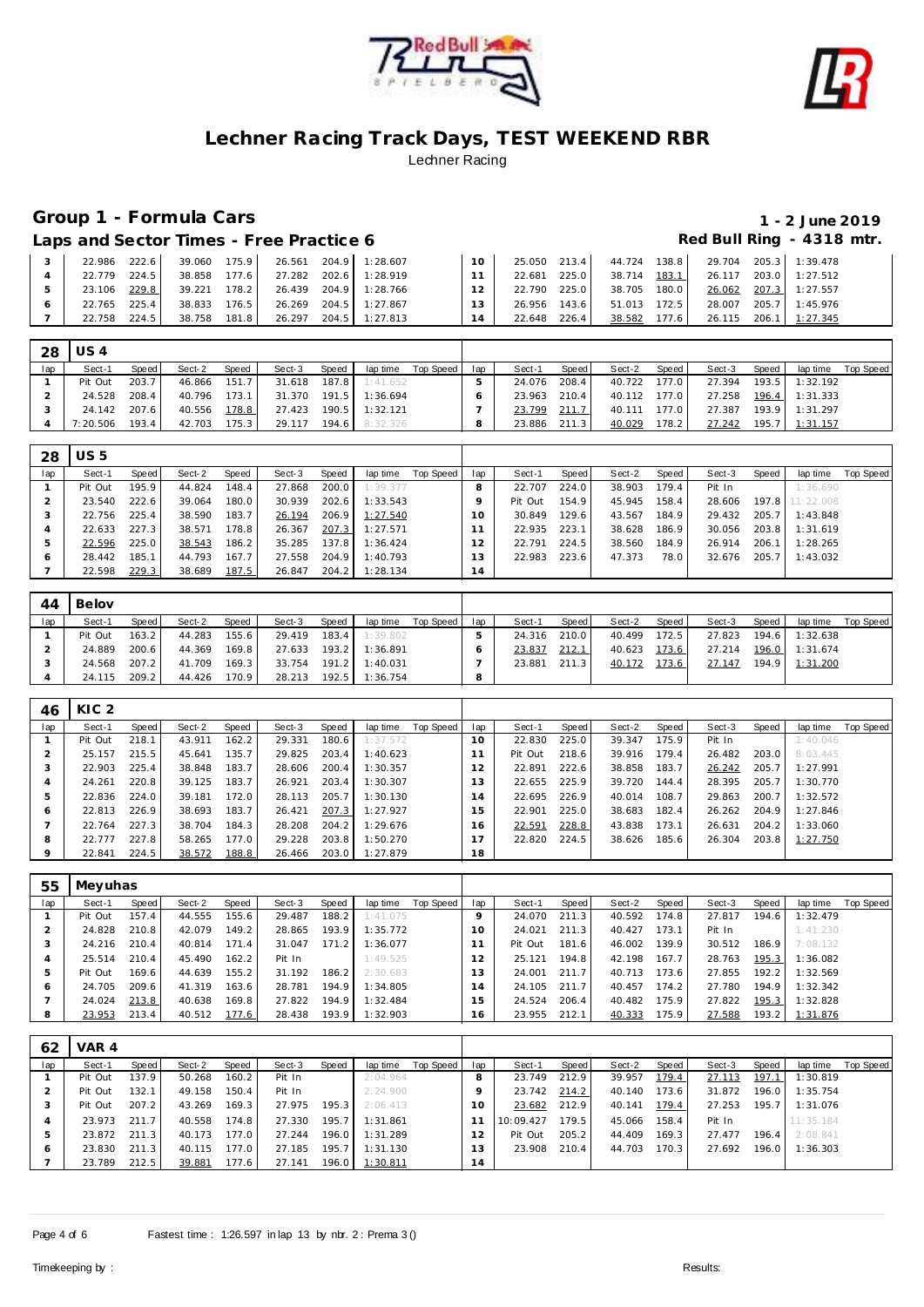



# **Group 1 - Formula Cars 1 - 2 June 2019**

Laps and Sector Times - Free Practice 6 *Red Bull Ring - 4318 mtr.* 

| 222.6<br>22.986 | 39.060<br>175.9 | 26.561 204.9 1:28.607 | $10^{-1}$ | 25.050 | 213.4 | 44.724 138.8 |       | 29.704 205.3 1:39.478 |                       |
|-----------------|-----------------|-----------------------|-----------|--------|-------|--------------|-------|-----------------------|-----------------------|
| 224.5<br>22.779 | 177.6<br>38.858 | 27.282 202.6 1:28.919 |           | 22.681 | 225.0 | 38.714 183.1 |       |                       | 26.117 203.0 1:27.512 |
| 229.8<br>23.106 | 39.221<br>178.2 | 26.439 204.9 1:28.766 | 12        | 22.790 | 225.0 | 38.705 180.0 |       |                       | 26.062 207.3 1:27.557 |
| 225.4<br>22.765 | 38.833<br>176.5 | 26.269 204.5 1:27.867 | 13        | 26.956 | 143.6 | 51.013 172.5 |       |                       | 28.007 205.7 1:45.976 |
| 224.5<br>22.758 | 181.8<br>38.758 | 26.297 204.5 1:27.813 | 14        | 22.648 | 226.4 | 38.582       | 177.6 |                       | 26.115 206.1 1:27.345 |

| - 28 | $\overline{\cup}$ 54 |         |        |       |              |       |                       |           |     |        |       |              |       |        |       |                       |           |
|------|----------------------|---------|--------|-------|--------------|-------|-----------------------|-----------|-----|--------|-------|--------------|-------|--------|-------|-----------------------|-----------|
| lap  | Sect-1               | Speed I | Sect-2 | Speed | Sect-3       | Speed | lap time              | Top Speed | lap | Sect-1 | Speed | Sect-2       | Speed | Sect-3 | Speed | lap time              | Top Speed |
|      | Pit Out              | 203.7   | 46.866 | 151.7 | 31.618       | 187.8 | 1:41.652              |           |     | 24.076 | 208.4 | 40.722 177.0 |       | 27.394 |       | 193.5 1:32.192        |           |
|      | 24.528               | 208.4   | 40.796 | 173.1 |              |       | 31.370 191.5 1:36.694 |           |     | 23.963 | 210.4 | 40.112 177.0 |       |        |       | 27.258 196.4 1:31.333 |           |
|      | 24.142 207.6         |         | 40.556 | 178.8 | 27.423       |       | 190.5 1:32.121        |           |     | 23.799 | 211.7 | 40.111       | 177.0 | 27.387 |       | 193.9 1:31.297        |           |
|      | 7:20.506             | 193.4   | 42.703 | 175.3 | 29.117 194.6 |       | 8:32.326              |           | 8   | 23.886 | 211.3 | 40.029       | 178.2 | 27.242 |       | 195.7 1:31.157        |           |

| 28  | US 5    |       |        |       |        |       |                |           |          |         |        |        |       |        |       |           |           |
|-----|---------|-------|--------|-------|--------|-------|----------------|-----------|----------|---------|--------|--------|-------|--------|-------|-----------|-----------|
| lap | Sect-1  | Speed | Sect-2 | Speed | Sect-3 | Speed | lap time       | Top Speed | lap      | Sect-1  | Speed  | Sect-2 | Speed | Sect-3 | Speed | lap time  | Top Speed |
|     | Pit Out | 195.9 | 44.824 | 148.4 | 27.868 | 200.0 | 1:39.377       |           |          | 22.707  | 224.0  | 38.903 | 179.4 | Pit In |       | 1:36.690  |           |
|     | 23.540  | 222.6 | 39.064 | 180.0 | 30.939 | 202.6 | 1:33.543       |           |          | Pit Out | 154.9  | 45.945 | 158.4 | 28.606 | 197.8 | 11:22.008 |           |
|     | 22.756  | 225.4 | 38.590 | 183.7 | 26.194 | 206.9 | 1:27.540       |           | $\Omega$ | 30.849  | 129.61 | 43.567 | 184.9 | 29.432 | 205.7 | 1:43.848  |           |
|     | 22.633  | 227.3 | 38.571 | 178.8 | 26.367 | 207.3 | 1:27.571       |           |          | 22.935  | 223.1  | 38.628 | 186.9 | 30.056 | 203.8 | 1:31.619  |           |
|     | 22.596  | 225.0 | 38.543 | 186.2 | 35.285 | 137.8 | 1:36.424       |           |          | 22.791  | 224.5  | 38.560 | 184.9 | 26.914 | 206.1 | 1:28.265  |           |
| 6   | 28.442  | 185.1 | 44.793 | 167.7 | 27.558 | 204.9 | 1:40.793       |           | 13       | 22.983  | 223.6  | 47.373 | 78.0  | 32.676 | 205.7 | 1:43.032  |           |
|     | 22.598  | 229.3 | 38.689 | 187.5 | 26.847 |       | 204.2 1:28.134 |           | 14       |         |        |        |       |        |       |           |           |

| 44  | Belov   |       |        |       |        |         |          |           |     |        |       |        |       |        |       |          |           |
|-----|---------|-------|--------|-------|--------|---------|----------|-----------|-----|--------|-------|--------|-------|--------|-------|----------|-----------|
| lap | Sect-1  | Speed | Sect-2 | Speed | Sect-3 | Speed   | lap time | Top Speed | lap | Sect-1 | Speed | Sect-2 | Speed | Sect-3 | Speed | lap time | Top Speed |
|     | Pit Out | 163.2 | 44.283 | 155.6 | 29.419 | 183.4   | 1:39.802 |           |     | 24.316 | 210.0 | 40.499 | 72.5  | 27.823 | 194.6 | 1:32.638 |           |
|     | 24.889  | 200.6 | 44.369 | 169.8 | 27.633 | $193.2$ | 1:36.891 |           |     | 23.837 | 212.1 | 40.623 | 173.6 | 27.214 | 196.0 | 1:31.674 |           |
|     | 24.568  | 207.2 | 41.709 | 169.3 | 33.754 | 191.2   | 1:40.031 |           |     | 23.881 | 211.3 | 40.172 | 173.6 | 27.147 | 194.9 | 1:31.200 |           |
|     | 24.115  | 209.2 | 44.426 | 170.9 | 28.213 | 192.5   | 1:36.754 |           | 8   |        |       |        |       |        |       |          |           |

| 46  | KIC <sub>2</sub> |       |        |       |        |       |          |           |                |         |       |        |       |        |       |          |           |
|-----|------------------|-------|--------|-------|--------|-------|----------|-----------|----------------|---------|-------|--------|-------|--------|-------|----------|-----------|
| lap | Sect-1           | Speed | Sect-2 | Speed | Sect-3 | Speed | lap time | Top Speed | lap            | Sect-1  | Speed | Sect-2 | Speed | Sect-3 | Speed | lap time | Top Speed |
|     | Pit Out          | 218.1 | 43.911 | 162.2 | 29.331 | 180.6 | 1:37.572 |           | $10^{-}$       | 22.830  | 225.0 | 39.347 | 175.9 | Pit In |       | 1:40.046 |           |
|     | 25.157           | 215.5 | 45.641 | 135.7 | 29.825 | 203.4 | 1:40.623 |           |                | Pit Out | 218.6 | 39.916 | 179.4 | 26.482 | 203.0 | 8:03.445 |           |
|     | 22.903           | 225.4 | 38.848 | 183.7 | 28.606 | 200.4 | 1:30.357 |           | 2              | 22.891  | 222.6 | 38.858 | 183.7 | 26.242 | 205.7 | 1:27.991 |           |
|     | 24.261           | 220.8 | 39.125 | 183.7 | 26.921 | 203.4 | 1:30.307 |           | 3              | 22.655  | 225.9 | 39.720 | 144.4 | 28.395 | 205.7 | 1:30.770 |           |
|     | 22.836           | 224.0 | 39.181 | 172.0 | 28.113 | 205.7 | 1:30.130 |           | $\overline{4}$ | 22.695  | 226.9 | 40.014 | 108.7 | 29.863 | 200.7 | 1:32.572 |           |
| O   | 22.813           | 226.9 | 38.693 | 183.7 | 26.421 | 207.3 | 1:27.927 |           | 5              | 22.901  | 225.0 | 38.683 | 182.4 | 26.262 | 204.9 | 1:27.846 |           |
|     | 22.764           | 227.3 | 38.704 | 184.3 | 28.208 | 204.2 | 1:29.676 |           | 6              | 22.591  | 228.8 | 43.838 | 173.1 | 26.631 | 204.2 | 1:33.060 |           |
| 8   | 22.777           | 227.8 | 58.265 | 177.0 | 29.228 | 203.8 | 1:50.270 |           |                | 22.820  | 224.5 | 38.626 | 185.6 | 26.304 | 203.8 | 1:27.750 |           |
|     | 22.841           | 224.5 | 38.572 | 188.8 | 26.466 | 203.0 | 1:27.879 |           | 18             |         |       |        |       |        |       |          |           |

| 55  | Meyuhas |       |        |       |        |       |          |           |     |         |       |        |       |        |       |          |           |
|-----|---------|-------|--------|-------|--------|-------|----------|-----------|-----|---------|-------|--------|-------|--------|-------|----------|-----------|
| lap | Sect-1  | Speed | Sect-2 | Speed | Sect-3 | Speed | lap time | Top Speed | lap | Sect-1  | Speed | Sect-2 | Speed | Sect-3 | Speed | lap time | Top Speed |
|     | Pit Out | 157.4 | 44.555 | 155.6 | 29.487 | 188.2 | 1:41.075 |           |     | 24.070  | 211.3 | 40.592 | 174.8 | 27.817 | 194.6 | 1:32.479 |           |
|     | 24.828  | 210.8 | 42.079 | 149.2 | 28.865 | 193.9 | 1:35.772 |           | 10  | 24.021  | 211.3 | 40.427 | 173.1 | Pit In |       | 1:41.230 |           |
|     | 24.216  | 210.4 | 40.814 | 171.4 | 31.047 | 171.2 | 1:36.077 |           |     | Pit Out | 181.6 | 46.002 | 139.9 | 30.512 | 186.9 | 7:08.132 |           |
|     | 25.514  | 210.4 | 45.490 | 162.2 | Pit In |       | 1:49.525 |           |     | 25.121  | 194.8 | 42.198 | 167.7 | 28.763 | 195.3 | 1:36.082 |           |
| ь   | Pit Out | 169.6 | 44.639 | 155.2 | 31.192 | 186.2 | 2:30.683 |           | 1.3 | 24.001  | 211.7 | 40.713 | 173.6 | 27.855 | 192.2 | 1:32.569 |           |
| O   | 24.705  | 209.6 | 41.319 | 163.6 | 28.781 | 194.9 | 1:34.805 |           | 4   | 24.105  | 211.7 | 40.457 | 174.2 | 27.780 | 194.9 | 1:32.342 |           |
|     | 24.024  | 213.8 | 40.638 | 169.8 | 27.822 | 194.9 | 1:32.484 |           | 5   | 24.524  | 206.4 | 40.482 | 175.9 | 27.822 | 195.3 | 1:32.828 |           |
| 8   | 23.953  | 213.4 | 40.512 | 177.6 | 28.438 | 193.9 | 1:32.903 |           | 16  | 23.955  | 212.1 | 40.333 | 175.9 | 27.588 | 193.2 | 1:31.876 |           |

| 62  | VAR 4   |       |        |       |        |        |          |           |     |           |       |        |       |        |       |           |           |
|-----|---------|-------|--------|-------|--------|--------|----------|-----------|-----|-----------|-------|--------|-------|--------|-------|-----------|-----------|
| lap | Sect-1  | Speed | Sect-2 | Speed | Sect-3 | Speed  | lap time | Top Speed | lap | Sect-1    | Speed | Sect-2 | Speed | Sect-3 | Speed | lap time  | Top Speed |
|     | Pit Out | 137.9 | 50.268 | 160.2 | Pit In |        | 2:04.964 |           | 8   | 23.749    | 212.9 | 39.957 | 179.4 | 27.113 | 197.1 | : 30.819  |           |
|     | Pit Out | 132.1 | 49.158 | 150.4 | Pit In |        | 2:24.900 |           | Q   | 23.742    | 214.2 | 40.140 | 173.6 | 31.872 | 196.0 | 1:35.754  |           |
|     | Pit Out | 207.2 | 43.269 | 169.3 | 27.975 | 195.3  | 2:06.413 |           | 10  | 23.682    | 212.9 | 40.141 | 179.4 | 27.253 | 195.7 | 1:31.076  |           |
|     | 23.973  | 211.7 | 40.558 | 174.8 | 27.330 | 195.7. | 1:31.861 |           |     | 10:09.427 | 179.5 | 45.066 | 158.4 | Pit In |       | 11:35.184 |           |
| 5   | 23.872  | 211.3 | 40.173 | 177.0 | 27.244 | 196.0  | 1:31.289 |           |     | Pit Out   | 205.2 | 44.409 | 169.3 | 27.477 | 196.4 | 2:08.841  |           |
| 6   | 23.830  | 211.3 | 40.115 | 177.0 | 27.185 | 195.7  | 1:31.130 |           | 13  | 23.908    | 210.4 | 44.703 | 170.3 | 27.692 | 196.0 | 1:36.303  |           |
|     | 23.789  | 212.5 | 39.881 | 177.6 | 27.141 | 196.0  | 1:30.811 |           | 14  |           |       |        |       |        |       |           |           |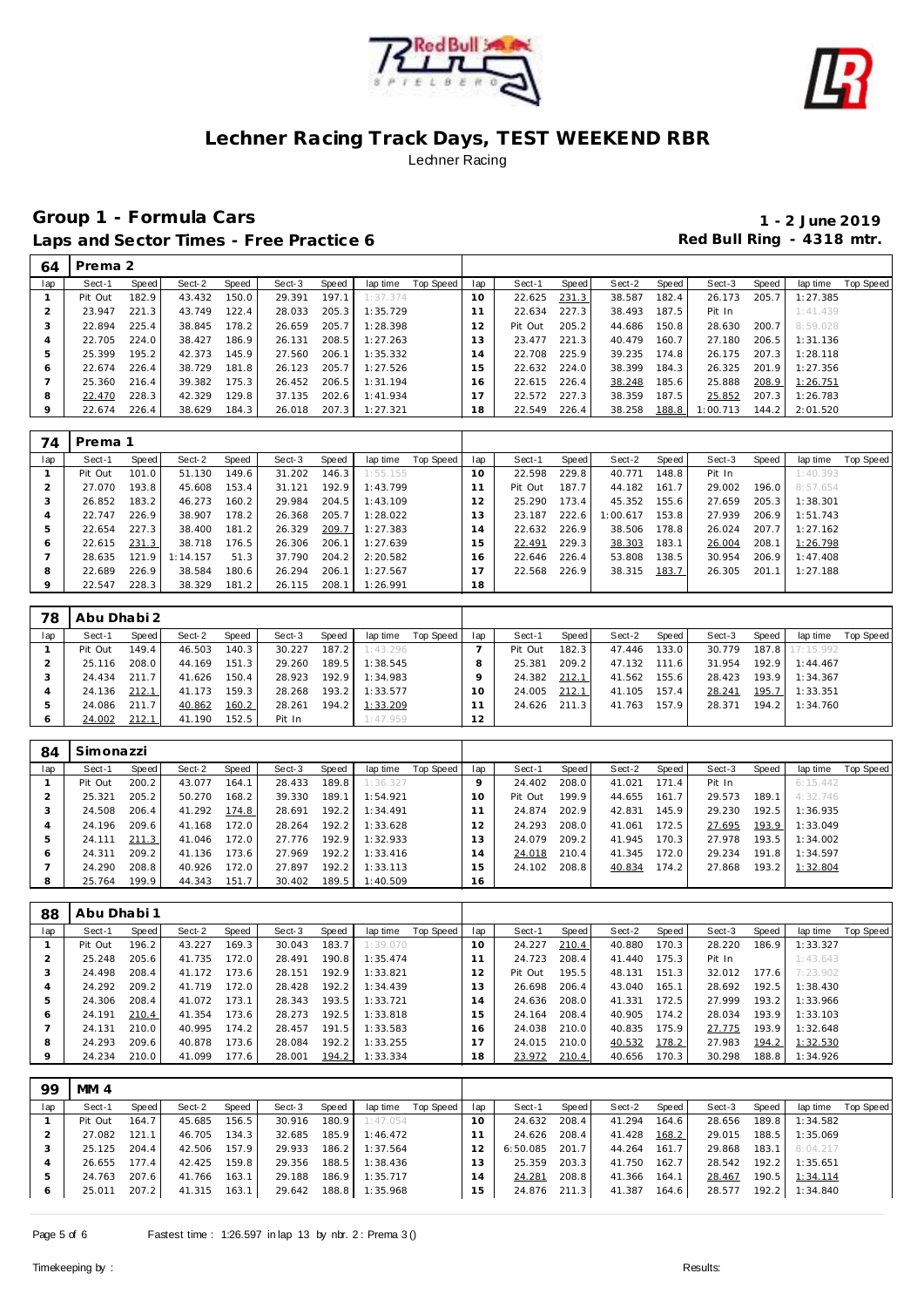



| 64      | Prema 2 |       |        |       |        |       |          |           |                |         |       |        |       |          |       |          |           |
|---------|---------|-------|--------|-------|--------|-------|----------|-----------|----------------|---------|-------|--------|-------|----------|-------|----------|-----------|
| lap     | Sect-1  | Speed | Sect-2 | Speed | Sect-3 | Speed | lap time | Top Speed | lap            | Sect-1  | Speed | Sect-2 | Speed | Sect-3   | Speed | lap time | Top Speed |
|         | Pit Out | 182.9 | 43.432 | 150.0 | 29.391 | 197.1 | 1:37.374 |           | 10             | 22.625  | 231.3 | 38.587 | 182.4 | 26.173   | 205.7 | 1:27.385 |           |
|         | 23.947  | 221.3 | 43.749 | 122.4 | 28.033 | 205.3 | 1:35.729 |           |                | 22.634  | 227.3 | 38.493 | 187.5 | Pit In   |       | 1:41.439 |           |
| 3       | 22.894  | 225.4 | 38.845 | 178.2 | 26.659 | 205.7 | 1:28.398 |           | 12             | Pit Out | 205.2 | 44.686 | 150.8 | 28.630   | 200.7 | 8:59.028 |           |
| 4       | 22.705  | 224.0 | 38.427 | 186.9 | 26.131 | 208.5 | 1:27.263 |           | 13             | 23.477  | 221.3 | 40.479 | 160.7 | 27.180   | 206.5 | 1:31.136 |           |
| 5       | 25.399  | 195.2 | 42.373 | 145.9 | 27.560 | 206.1 | 1:35.332 |           | $\overline{4}$ | 22.708  | 225.9 | 39.235 | 174.8 | 26.175   | 207.3 | 1:28.118 |           |
| O       | 22.674  | 226.4 | 38.729 | 181.8 | 26.123 | 205.7 | 1:27.526 |           | 15             | 22.632  | 224.0 | 38.399 | 184.3 | 26.325   | 201.9 | 1:27.356 |           |
|         | 25.360  | 216.4 | 39.382 | 175.3 | 26.452 | 206.5 | 1:31.194 |           | ⊣<br>16        | 22.615  | 226.4 | 38.248 | 185.6 | 25.888   | 208.9 | 1:26.751 |           |
| 8       | 22.470  | 228.3 | 42.329 | 129.8 | 37.135 | 202.6 | 1:41.934 |           | 17             | 22.572  | 227.3 | 38.359 | 187.5 | 25.852   | 207.3 | 1:26.783 |           |
| $\circ$ | 22.674  | 226.4 | 38.629 | 184.3 | 26.018 | 207.3 | 1:27.321 |           | 18             | 22.549  | 226.4 | 38.258 | 188.8 | 1:00.713 | 144.2 | 2:01.520 |           |

| 74      | Prema 1 |       |          |       |        |       |          |           |     |         |       |          |       |        |       |          |           |
|---------|---------|-------|----------|-------|--------|-------|----------|-----------|-----|---------|-------|----------|-------|--------|-------|----------|-----------|
| lap     | Sect-1  | Speed | Sect-2   | Speed | Sect-3 | Speed | lap time | Top Speed | lap | Sect-1  | Speed | Sect-2   | Speed | Sect-3 | Speed | lap time | Top Speed |
|         | Pit Out | 101.0 | 51.130   | 149.6 | 31.202 | 146.3 | 1:55.155 |           | 10  | 22.598  | 229.8 | 40.771   | 148.8 | Pit In |       | 1:40.393 |           |
|         | 27.070  | 193.8 | 45.608   | 153.4 | 31.121 | 192.9 | 1:43.799 |           |     | Pit Out | 187.7 | 44.182   | 161.7 | 29.002 | 196.0 | 8:57.654 |           |
|         | 26.852  | 183.2 | 46.273   | 160.2 | 29.984 | 204.5 | 1:43.109 |           |     | 25.290  | 173.4 | 45.352   | 155.6 | 27.659 | 205.3 | 1:38.301 |           |
| 4       | 22.747  | 226.9 | 38.907   | 178.2 | 26.368 | 205.7 | 1:28.022 |           | 3   | 23.187  | 222.6 | 1:00.617 | 153.8 | 27.939 | 206.9 | 1:51.743 |           |
|         | 22.654  | 227.3 | 38.400   | 181.2 | 26.329 | 209.7 | 1:27.383 |           | 14  | 22.632  | 226.9 | 38.506   | 178.8 | 26.024 | 207.7 | 1:27.162 |           |
| O       | 22.615  | 231.3 | 38.718   | 176.5 | 26.306 | 206.1 | 1:27.639 |           | 15  | 22.491  | 229.3 | 38.303   | 183.1 | 26.004 | 208.1 | 1:26.798 |           |
|         | 28.635  | 121.9 | 1:14.157 | 51.3  | 37.790 | 204.2 | 2:20.582 |           | 6   | 22.646  | 226.4 | 53.808   | 138.5 | 30.954 | 206.9 | 1:47.408 |           |
| 8       | 22.689  | 226.9 | 38.584   | 180.6 | 26.294 | 206.1 | 1:27.567 |           |     | 22.568  | 226.9 | 38.315   | 183.7 | 26.305 | 201.1 | 1:27.188 |           |
| $\circ$ | 22.547  | 228.3 | 38.329   | 181.2 | 26.115 | 208.1 | 1:26.991 |           | 18  |         |       |          |       |        |       |          |           |

| 78  | Abu Dhabi 2 |       |        |       |        |       |          |           |          |         |       |        |       |        |       |                 |           |
|-----|-------------|-------|--------|-------|--------|-------|----------|-----------|----------|---------|-------|--------|-------|--------|-------|-----------------|-----------|
| lap | Sect-1      | Speed | Sect-2 | Speed | Sect-3 | Speed | lap time | Top Speed | lap      | Sect-1  | Speed | Sect-2 | Speed | Sect-3 | Speed | lap time        | Top Speed |
|     | Pit Out     | 149.4 | 46.503 | 140.3 | 30.227 | 187.2 | 1:43.296 |           |          | Pit Out | 182.3 | 47.446 | 133.0 | 30.779 |       | 187.8 17:15.992 |           |
|     | 25.116      | 208.0 | 44.169 | 151.3 | 29.260 | 189.5 | 1:38.545 |           |          | 25.381  | 209.2 | 47.132 | 111.6 | 31.954 | 192.9 | 1:44.467        |           |
|     | 24.434      | 211.7 | 41.626 | 150.4 | 28.923 | 192.9 | 1:34.983 |           |          | 24.382  | 212.1 | 41.562 | 155.6 | 28.423 | 193.9 | 1:34.367        |           |
|     | 24.136      | 212.1 | 41.173 | 159.3 | 28.268 | 193.2 | 1:33.577 |           | $\Omega$ | 24.005  | 212.1 | 41.105 | 157.4 | 28.241 | 195.7 | 1:33.351        |           |
|     | 24.086      | 211.7 | 40.862 | 160.2 | 28.261 | 194.2 | 1:33.209 |           |          | 24.626  | 211.3 | 41.763 | 157.9 | 28.371 | 194.2 | 1:34.760        |           |
|     | 24.002      | 212.1 | 41.190 | 152.5 | Pit In |       | 1:47.959 |           | 12       |         |       |        |       |        |       |                 |           |

| 84  | Simonazzi |       |        |       |        |       |          |           |     |         |       |        |       |        |       |           |           |
|-----|-----------|-------|--------|-------|--------|-------|----------|-----------|-----|---------|-------|--------|-------|--------|-------|-----------|-----------|
| lap | Sect-1    | Speed | Sect-2 | Speed | Sect-3 | Speed | lap time | Top Speed | lap | Sect-1  | Speed | Sect-2 | Speed | Sect-3 | Speed | lap time  | Top Speed |
|     | Pit Out   | 200.2 | 43.077 | 164.1 | 28.433 | 189.8 | 1:36.327 |           |     | 24.402  | 208.0 | 41.021 | 171.4 | Pit In |       | 6:15.442  |           |
|     | 25.321    | 205.2 | 50.270 | 168.2 | 39.330 | 189.1 | 1:54.921 |           | 10  | Pit Out | 199.9 | 44.655 | 161.7 | 29.573 | 189.1 | 4:32.746  |           |
| ъD. | 24.508    | 206.4 | 41.292 | 174.8 | 28.691 | 192.2 | 1:34.491 |           |     | 24.874  | 202.9 | 42.831 | 145.9 | 29.230 | 192.5 | I: 36.935 |           |
|     | 24.196    | 209.6 | 41.168 | 172.0 | 28.264 | 192.2 | 1:33.628 |           | 2   | 24.293  | 208.0 | 41.061 | 172.5 | 27.695 | 193.9 | 1:33.049  |           |
|     | 24.111    | 211.3 | 41.046 | 172.0 | 27.776 | 192.9 | 1:32.933 |           | 3   | 24.079  | 209.2 | 41.945 | 170.3 | 27.978 | 193.5 | 1:34.002  |           |
| O   | 24.311    | 209.2 | 41.136 | 173.6 | 27.969 | 192.2 | 1:33.416 |           | l 4 | 24.018  | 210.4 | 41.345 | 172.0 | 29.234 | 191.8 | 1:34.597  |           |
|     | 24.290    | 208.8 | 40.926 | 172.0 | 27.897 | 192.2 | 1:33.113 |           | -5  | 24.102  | 208.8 | 40.834 | 174.2 | 27.868 | 193.2 | 1:32.804  |           |
| 8   | 25.764    | 199.9 | 44.343 | 151.7 | 30.402 | 189.5 | 1:40.509 |           | 16  |         |       |        |       |        |       |           |           |

| 88      | Abu Dhabi 1 |       |        |       |        |       |          |           |     |         |       |        |       |        |       |          |           |
|---------|-------------|-------|--------|-------|--------|-------|----------|-----------|-----|---------|-------|--------|-------|--------|-------|----------|-----------|
| lap     | Sect-1      | Speed | Sect-2 | Speed | Sect-3 | Speed | lap time | Top Speed | lap | Sect-1  | Speed | Sect-2 | Speed | Sect-3 | Speed | lap time | Top Speed |
|         | Pit Out     | 196.2 | 43.227 | 169.3 | 30.043 | 183.7 | 1:39.070 |           | 10  | 24.227  | 210.4 | 40.880 | 170.3 | 28.220 | 186.9 | 1:33.327 |           |
|         | 25.248      | 205.6 | 41.735 | 172.0 | 28.491 | 190.8 | 1:35.474 |           |     | 24.723  | 208.4 | 41.440 | 175.3 | Pit In |       | 1:43.643 |           |
| -3      | 24.498      | 208.4 | 41.172 | 173.6 | 28.151 | 192.9 | 1:33.821 |           |     | Pit Out | 195.5 | 48.131 | 151.3 | 32.012 | 177.6 | 7:23.902 |           |
|         | 24.292      | 209.2 | 41.719 | 172.0 | 28.428 | 192.2 | 1:34.439 |           | 13  | 26.698  | 206.4 | 43.040 | 165.1 | 28.692 | 192.5 | 1:38.430 |           |
|         | 24.306      | 208.4 | 41.072 | 173.1 | 28.343 | 193.5 | 1:33.721 |           | 14  | 24.636  | 208.0 | 41.331 | 172.5 | 27.999 | 193.2 | 1:33.966 |           |
| Ô       | 24.191      | 210.4 | 41.354 | 173.6 | 28.273 | 192.5 | 1:33.818 |           | 5   | 24.164  | 208.4 | 40.905 | 174.2 | 28.034 | 193.9 | 1:33.103 |           |
|         | 24.131      | 210.0 | 40.995 | 174.2 | 28.457 | 191.5 | 1:33.583 |           | 16  | 24.038  | 210.0 | 40.835 | 175.9 | 27.775 | 193.9 | 1:32.648 |           |
| 8       | 24.293      | 209.6 | 40.878 | 173.6 | 28.084 | 192.2 | 1:33.255 |           |     | 24.015  | 210.0 | 40.532 | 178.2 | 27.983 | 194.2 | 1:32.530 |           |
| $\circ$ | 24.234      | 210.0 | 41.099 | 177.6 | 28.001 | 194.2 | 1:33.334 |           | 18  | 23.972  | 210.4 | 40.656 | 170.3 | 30.298 | 188.8 | 1:34.926 |           |

| 99  | MM4     |        |        |       |        |       |                       |           |                 |              |       |        |       |        |       |                       |           |
|-----|---------|--------|--------|-------|--------|-------|-----------------------|-----------|-----------------|--------------|-------|--------|-------|--------|-------|-----------------------|-----------|
| lap | Sect-1  | Speed  | Sect-2 | Speed | Sect-3 | Speed | lap time              | Top Speed | lap             | Sect-1       | Speed | Sect-2 | Speed | Sect-3 | Speed | lap time              | Top Speed |
|     | Pit Out | 164.7  | 45.685 | 156.5 | 30.916 | 180.9 | 1:47.054              |           | 10 <sup>°</sup> | 24.632       | 208.4 | 41.294 | 164.6 | 28.656 | 189.8 | 1:34.582              |           |
|     | 27.082  | 121.11 | 46.705 | 134.3 | 32.685 |       | 185.9 1:46.472        |           |                 | 24.626       | 208.4 | 41.428 | 168.2 | 29.015 | 188.5 | 1:35.069              |           |
|     | 25.125  | 204.4  | 42.506 | 157.9 | 29.933 |       | 186.2 1:37.564        |           |                 | 6:50.085     | 201.7 | 44.264 | 161.7 | 29.868 | 183.1 | 8:04.217              |           |
|     | 26.655  | 177.4  | 42.425 | 159.8 | 29.356 | 188.5 | 1:38.436              |           | 13              | 25.359       | 203.3 | 41.750 | 162.7 | 28.542 | 192.2 | 1:35.651              |           |
|     | 24.763  | 207.6  | 41.766 | 163.1 | 29.188 | 186.9 | 1:35.717              |           | 14              | 24.281       | 208.8 | 41.366 | 164.1 | 28.467 | 190.5 | 1:34.114              |           |
| 6   | 25.011  | 207.2  | 41.315 | 163.1 |        |       | 29.642 188.8 1:35.968 |           | 15              | 24.876 211.3 |       | 41.387 | 164.6 |        |       | 28.577 192.2 1:34.840 |           |